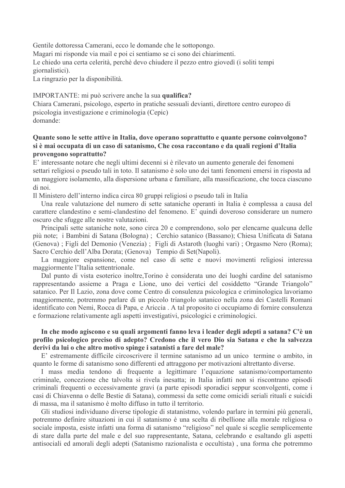Gentile dottoressa Camerani, ecco le domande che le sottopongo. Magari mi risponde via mail e poi ci sentiamo se ci sono dei chiarimenti. Le chiedo una certa celerità, perchè devo chiudere il pezzo entro giovedì (i soliti tempi giornalistici).

La ringrazio per la disponibilità.

IMPORTANTE: mi può scrivere anche la sua qualifica?

Chiara Camerani, psicologo, esperto in pratiche sessuali devianti, direttore centro europeo di psicologia investigazione e criminologia (Cepic) domande<sup>.</sup>

# Quante sono le sette attive in Italia, dove operano soprattutto e quante persone coinvolgono? si è mai occupata di un caso di satanismo, Che cosa raccontano e da quali regioni d'Italia provengono soprattutto?

E' interessante notare che negli ultimi decenni si è rilevato un aumento generale dei fenomeni settari religiosi o pseudo tali in toto. Il satanismo è solo uno dei tanti fenomeni emersi in risposta ad un maggiore isolamento, alla dispersione urbana e familiare, alla massificazione, che tocca ciascuno di noi.

Il Ministero dell'interno indica circa 80 gruppi religiosi o pseudo tali in Italia

Una reale valutazione del numero di sette sataniche operanti in Italia è complessa a causa del carattere clandestino e semi-clandestino del fenomeno. E' quindi doveroso considerare un numero oscuro che sfugge alle nostre valutazioni.

Principali sette sataniche note, sono circa 20 e comprendono, solo per elencarne qualcuna delle più note; i Bambini di Satana (Bologna); Cerchio satanico (Bassano); Chiesa Unificata di Satana (Genova); Figli del Demonio (Venezia); Figli di Astaroth (luoghi vari); Orgasmo Nero (Roma); Sacro Cerchio dell'Alba Dorata; (Genova) Tempio di Set(Napoli).

La maggiore espansione, come nel caso di sette e nuovi movimenti religiosi interessa maggiormente l'Italia settentrionale.

Dal punto di vista esoterico inoltre, Torino è considerata uno dei luoghi cardine del satanismo rappresentando assieme a Praga e Lione, uno dei vertici del cosiddetto "Grande Triangolo" satanico. Per Il Lazio, zona dove come Centro di consulenza psicologica e criminologica lavoriamo maggiormente, potremmo parlare di un piccolo triangolo satanico nella zona dei Castelli Romani identificato con Nemi, Rocca di Papa, e Ariccia. A tal proposito ci occupiamo di fornire consulenza e formazione relativamente agli aspetti investigativi, psicologici e criminologici.

## In che modo agiscono e su quali argomenti fanno leva i leader degli adepti a satana? C'è un profilo psicologico preciso di adepto? Credono che il vero Dio sia Satana e che la salvezza derivi da lui o che altro motivo spinge i satanisti a fare del male?

E' estremamente difficile circoscrivere il termine satanismo ad un unico termine o ambito, in quanto le forme di satanismo sono differenti ed attraggono per motivazioni altrettanto diverse.

I mass media tendono di frequente a legittimare l'equazione satanismo/comportamento criminale, concezione che talvolta si rivela inesatta; in Italia infatti non si riscontrano episodi criminali frequenti o eccessivamente gravi (a parte episodi sporadici seppur sconvolgenti, come i casi di Chiavenna o delle Bestie di Satana), commessi da sette come omicidi seriali rituali e suicidi di massa, ma il satanismo è molto diffuso in tutto il territorio.

Gli studiosi individuano diverse tipologie di statanistmo, volendo parlare in termini più generali, potremmo definire situazioni in cui il satanismo è una scelta di ribellione alla morale religiosa o sociale imposta, esiste infatti una forma di satanismo "religioso" nel quale si sceglie semplicemente di stare dalla parte del male e del suo rappresentante, Satana, celebrando e esaltando gli aspetti antisociali ed amorali degli adepti (Satanismo razionalista e occultista), una forma che potremmo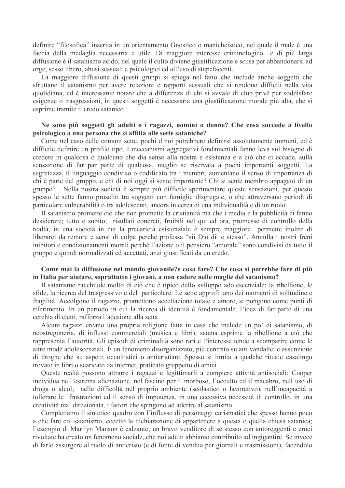definire "filosofica" inserita in un orientamento Gnostico o manicheistico, nel quale il male è una faccia della medaglia necessaria e utile. Di maggiore interesse criminologico e di più larga diffusione è il satanismo acido, nel quale il culto diviene giustificazione e scusa per abbandonarsi ad orge, sesso libero, abusi sessuali e psicologici ed all'uso di stupefacenti.

La maggiore diffusione di questi gruppi si spiega nel fatto che include anche soggetti che sfruttano il satanismo per avere relazioni e rapporti sessuali che si rendono difficili nella vita quotidiana, ed è interessante notare che a differenza di chi si avvale di club privè per soddisfare esigenze o trasgressioni, in questi soggetti è necessaria una giustificazione morale più alta, che si esprime tramite il credo satanico

### Ne sono più soggetti gli adulti o i ragazzi, uomini o donne? Che cosa succede a livello psicologico a una persona che si affilia alle sette sataniche?

Come nel caso delle comuni sette, pochi d noi potrebbero definirsi assolutamente immuni, ed è difficile definire un profilo tipo. I meccanismi aggregativi fondamentali fanno leva sul bisogno di credere in qualcosa o qualcuno che dia senso alla nostra e esistenza e a ciò che ci accade, sulla sensazione di far par parte di qualcosa, meglio se riservata a pochi importanti soggetti. La segretezza, il linguaggio condiviso o codificato tra i membri, aumentano il senso di importanza di chi è parte del gruppo, e chi di noi oggi si sente importante? Chi si sente membro appagato di un gruppo? . Nella nostra società è sempre più difficile sperimentare queste sensazioni, per questo spesso le sette fanno proseliti tra soggetti con famiglie disgregate, o che attraversano periodi di particolare vulnerabilità o tra adolescenti, ancora in cerca di una individualità e di un ruolo.

Il satanismo promette ciò che non promette la cristianità ma che i media e la pubblicità ci fanno desiderare; tutto e subito; risultati concreti, fruibili nel qui ed ora, promesse di controllo della realtà, in una società in cui la precarietà esistenziale è sempre maggiore...permette inoltre di liberarci da remore e sensi di colpa perché professa "sii Dio di te stesso". Annulla i nostri freni inibitori e condizionamenti morali perché l'azione o il pensiero "amorale" sono condivisi da tutto il gruppo e quindi normalizzati ed accettati, anzi giustificati da un credo.

## Come mai la diffusione nel mondo giovanile?e cosa fare? Che cosa si potrebbe fare di più in Italia per aiutare, soprattutto i giovani, a non cadere nelle maglie del satanismo?

Il satanismo racchiude molto di ciò che è tipico dello sviluppo adolescenziale; la ribellione, le sfide, la ricerca del trasgressivo e del particolare. Le sette approfittano dei momenti di solitudine e fragilità. Accolgono il ragazzo, promettono accettazione totale e amore, si pongono come punti di riferimento. In un periodo in cui la ricerca di identità è fondamentale, l'idea di far parte di una cerchia di eletti, rafforza l'adesione alla setta

Alcuni ragazzi creano una propria religione fatta in casa che include un po' di satanismo, di neostregoneria, di influssi commerciali (musica e libri), satana esprime la ribellione a ciò che rappresenta l'autorità. Gli episodi di criminalità sono rari e l'interesse tende a scomparire come le altre mode adolescenziali. È un fenomeno disorganizzato, più centrato su atti vandalici e assunzione di droghe che su aspetti occultistici o anticristiani. Spesso si limita a qualche rituale casalingo trovato in libri o scaricato da internet, praticato gruppetto di amici

Queste realtà possono attrarre i ragazzi e legittimarli a compiere attività antisociali; Cooper individua nell'estrema alienazione, nel fascino per il morboso, l'occulto ed il macabro, nell'uso di droga o alcol; nelle difficoltà nel proprio ambiente (scolastico o lavorativo), nell'incapacità a tollerare le frustrazioni ed il senso di impotenza, in una eccessiva necessità di controllo, in una creatività mal direzionata, i fattori che spingono ad aderire al satanismo.

Completiamo il sintetico quadro con l'influsso di personaggi carismatici che spesso hanno poco a che fare col satanismo, eccetto la dichiarazione di appartenere a questa o quella chiesa satanica; l'esempio di Marilyn Manson è calzante; un bravo venditore di sé stesso con autoreggenti e croci rivoltate ha creato un fenomeno sociale, che noi adulti abbiamo contribuito ad ingigantire. Se invece di farlo assurgere al ruolo di anticristo (e di fonte di vendita per giornali e trasmissioni), facendolo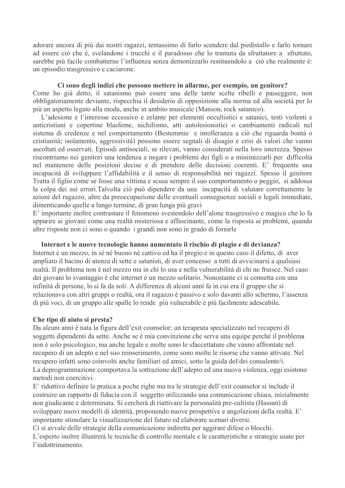adorare ancora di più dai nostri ragazzi, tentassimo di farlo scendere dal piedistallo e farlo tornare ad essere ciò che è, svelandone i trucchi e il paradosso che lo tramuta da sfruttatore a sfruttato, sarebbe più facile combatterne l'influenza senza demonizzarlo restituendolo a ciò che realmente è: un episodio trasgressivo e caciarone.

#### Ci sono degli indizi che possono mettere in allarme, per esempio, un genitore?

Come ho già detto, il satanismo può essere una delle tante scelte ribelli e passeggere, non obbligatoriamente deviante, rispecchia il desiderio di opposizione alla norma ed alla società per lo più un aspetto legato alla moda, anche in ambito musicale (Manson, rock satanico).

L'adesione e l'interesse eccessivo e zelante per elementi occultistici e satanici, testi violenti e anticristiani e copertine blasfeme, nichilismo, atti autolesionistici o cambiamenti radicali nel sistema di credenze e nel comportamento (Bestemmie) e intolleranza a ciò che riguarda bontà o cristianità; isolamento, aggressività) possono essere segnali di disagio e crisi di valori che vanno ascoltati ed osservati. Episodi antisociali, se rilevati, vanno considerati nella loro interezza. Spesso riscontriamo nei genitori una tendenza a negare i problemi dei figli o a minimizzarli per difficoltà nel mantenere delle posizioni decise e di prendere delle decisioni coerenti. E' frequente una incapacità di sviluppare l'affidabilità e il senso di responsabilità nei ragazzi. Spesso il genitore Tratta il figlio come se fosse una vittima e scusa sempre il suo comportamento o peggio, si addossa la colpa dei sui errori. Talvolta ciò può dipendere da una incapacità di valutare correttamente le azioni del ragazzo, altre da preoccupazione delle eventuali conseguenze sociali e legali immediate, dimenticando quelle a lungo termine, di gran lunga più gravi

E' importante inoltre contrastare il fenomeno svestendolo dell'alone trasgressivo e magico che lo fa apparire ai giovani come una realtà misteriosa e affascinante, come la risposta ai problemi, quando altre risposte non ci sono o quando i grandi non sono in grado di fornirle

#### Internet e le nuove tecnologie hanno aumentato il rischio di plagio e di devianza?

Internet è un mezzo, in sé né buono né cattivo ed ha il pregio e in questo caso il difetto, di aver ampliato il bacino di utenza di sette e satanisti, di aver concesso a tutti di avvicinarsi a qualsiasi realtà. Il problema non è nel mezzo ma in chi lo usa e nella vulnerabilità di chi ne fruisce. Nel caso dei giovani lo svantaggio è che internet è un mezzo solitario. Nonostante ci si connetta con una infinità di persone, lo si fa da soli. A differenza di alcuni anni fa in cui era il gruppo che si relazionava con altri gruppi o realtà, ora il ragazzo è passivo e solo davanti allo schermo, l'assenza di più voci, di un gruppo alle spalle lo rende più vulnerabile e più facilmente adescabile.

### Che tipo di aiuto si presta?

Da alcuni anni è nata la figura dell'exit counselor; un terapeuta specializzato nel recupero di soggetti dipendenti da sette. Anche se è mia convinzione che serva una equipe perché il problema non è solo psicologico, ma anche legale e molte sono le sfaccettature che vanno affrontate nel recupero di un adepto e nel suo reinserimento, come sono molte le risorse che vanno attivate. Nel recupero infatti sono coinvolti anche familiari ed amici, sotto la guida del/dei consulente/i. La deprogrammazione comportava la sottrazione dell'adepto ed una nuova violenza, oggi esistono metodi non coercitivi.

E' riduttivo definire la pratica a poche righe ma tra le strategie dell'exit counselor si include il costruire un rapporto di fiducia con il soggetto utilizzando una comunicazione chiara, inizialmente non giudicante e determinata. Si cercherà di riattivare la personalità pre-cultista (Hassan) di sviluppare nuovi modelli di identità, proponendo nuove prospettive e angolazioni della realtà. E' importante stimolare la visualizzazione del futuro ed elaborare scenari diversi.

Ci si avvale delle strategie della comunicazione indiretta per aggirare difese o blocchi. L'esperto inoltre illustrerà le tecniche di controllo mentale e le caratteristiche e strategie usate per l'indottrinamento.